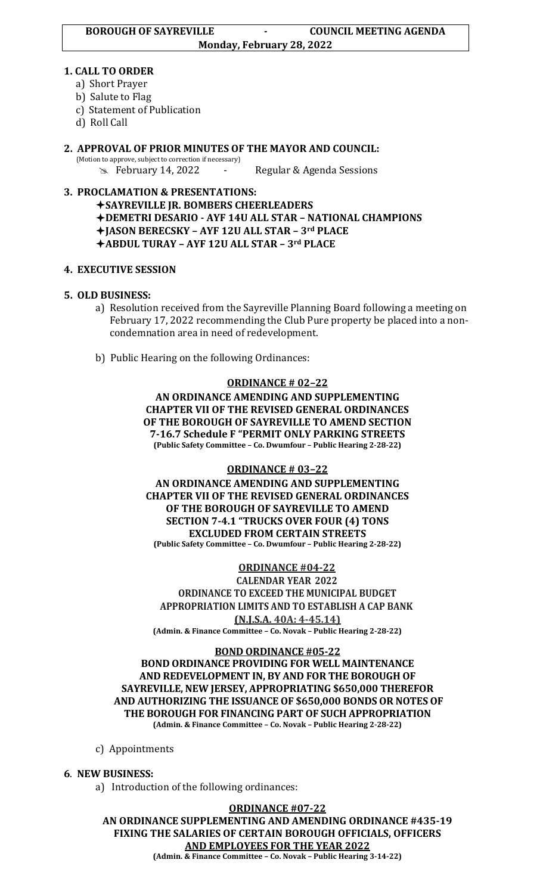#### **1. CALL TO ORDER**

- a) Short Prayer
- b) Salute to Flag
- c) Statement of Publication
- d) Roll Call

**2. APPROVAL OF PRIOR MINUTES OF THE MAYOR AND COUNCIL:**  (Motion to approve, subject to correction if necessary) February 14, 2022 - Regular & Agenda Sessions

## **3. PROCLAMATION & PRESENTATIONS:**

**SAYREVILLE JR. BOMBERS CHEERLEADERS DEMETRI DESARIO - AYF 14U ALL STAR – NATIONAL CHAMPIONS JASON BERECSKY – AYF 12U ALL STAR – 3rd PLACE ABDUL TURAY – AYF 12U ALL STAR – 3rd PLACE**

## **4. EXECUTIVE SESSION**

## **5. OLD BUSINESS:**

- a) Resolution received from the Sayreville Planning Board following a meeting on February 17, 2022 recommending the Club Pure property be placed into a non condemnation area in need of redevelopment.
- b) Public Hearing on the following Ordinances:

#### **ORDINANCE # 02–22**

**AN ORDINANCE AMENDING AND SUPPLEMENTING CHAPTER VII OF THE REVISED GENERAL ORDINANCES OF THE BOROUGH OF SAYREVILLE TO AMEND SECTION 7-16.7 Schedule F "PERMIT ONLY PARKING STREETS (Public Safety Committee – Co. Dwumfour – Public Hearing 2-28-22)**

#### **ORDINANCE # 03–22**

**AN ORDINANCE AMENDING AND SUPPLEMENTING CHAPTER VII OF THE REVISED GENERAL ORDINANCES OF THE BOROUGH OF SAYREVILLE TO AMEND SECTION 7-4.1 "TRUCKS OVER FOUR (4) TONS EXCLUDED FROM CERTAIN STREETS (Public Safety Committee – Co. Dwumfour – Public Hearing 2-28-22)**

**ORDINANCE #04-22**

**CALENDAR YEAR 2022 ORDINANCE TO EXCEED THE MUNICIPAL BUDGET APPROPRIATION LIMITS AND TO ESTABLISH A CAP BANK (N.J.S.A. 40A: 4-45.14)**

**(Admin. & Finance Committee – Co. Novak – Public Hearing 2-28-22)**

#### **BOND ORDINANCE #05-22 BOND ORDINANCE PROVIDING FOR WELL MAINTENANCE AND REDEVELOPMENT IN, BY AND FOR THE BOROUGH OF SAYREVILLE, NEW JERSEY, APPROPRIATING \$650,000 THEREFOR AND AUTHORIZING THE ISSUANCE OF \$650,000 BONDS OR NOTES OF THE BOROUGH FOR FINANCING PART OF SUCH APPROPRIATION (Admin. & Finance Committee – Co. Novak – Public Hearing 2-28-22)**

c) Appointments

#### **6**. **NEW BUSINESS:**

a) Introduction of the following ordinances:

**ORDINANCE #07-22 AN ORDINANCE SUPPLEMENTING AND AMENDING ORDINANCE #435-19 FIXING THE SALARIES OF CERTAIN BOROUGH OFFICIALS, OFFICERS AND EMPLOYEES FOR THE YEAR 2022**

**(Admin. & Finance Committee – Co. Novak – Public Hearing 3-14-22)**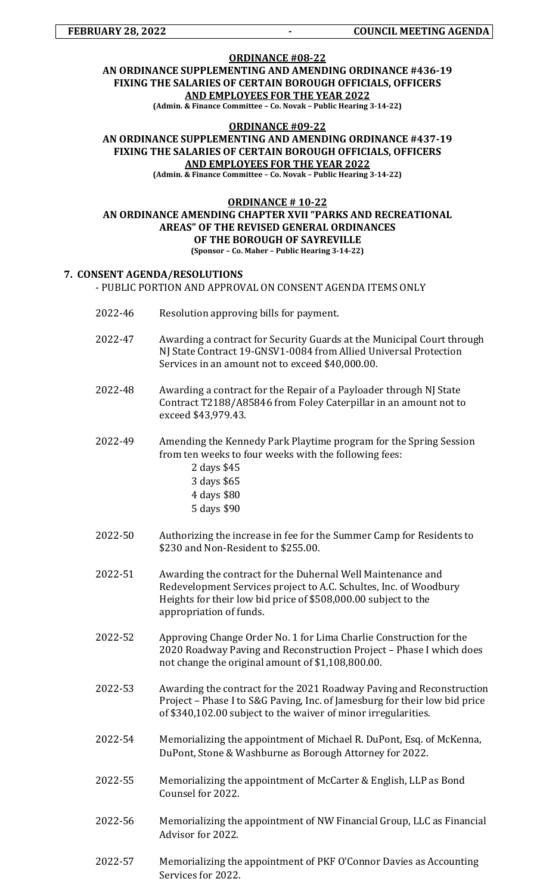# **ORDINANCE #08-22 AN ORDINANCE SUPPLEMENTING AND AMENDING ORDINANCE #436-19 FIXING THE SALARIES OF CERTAIN BOROUGH OFFICIALS, OFFICERS AND EMPLOYEES FOR THE YEAR 2022**

**(Admin. & Finance Committee – Co. Novak – Public Hearing 3-14-22)**

#### **ORDINANCE #09-22**

**AN ORDINANCE SUPPLEMENTING AND AMENDING ORDINANCE #437-19 FIXING THE SALARIES OF CERTAIN BOROUGH OFFICIALS, OFFICERS AND EMPLOYEES FOR THE YEAR 2022 (Admin. & Finance Committee – Co. Novak – Public Hearing 3-14-22)**

#### **ORDINANCE # 10-22 AN ORDINANCE AMENDING CHAPTER XVII "PARKS AND RECREATIONAL AREAS" OF THE REVISED GENERAL ORDINANCES OF THE BOROUGH OF SAYREVILLE (Sponsor – Co. Maher – Public Hearing 3-14-22)**

#### **7. CONSENT AGENDA/RESOLUTIONS** - PUBLIC PORTION AND APPROVAL ON CONSENT AGENDA ITEMS ONLY

- 2022-46 Resolution approving bills for payment.
- 2022-47 Awarding a contract for Security Guards at the Municipal Court through NJ State Contract 19-GNSV1-0084 from Allied Universal Protection Services in an amount not to exceed \$40,000.00.
- 2022-48 Awarding a contract for the Repair of a Payloader through NJ State Contract T2188/A85846 from Foley Caterpillar in an amount not to exceed \$43,979.43.
- 2022-49 Amending the Kennedy Park Playtime program for the Spring Session from ten weeks to four weeks with the following fees:
	- 2 days \$45 3 days \$65 4 days \$80 5 days \$90
- 2022-50 Authorizing the increase in fee for the Summer Camp for Residents to \$230 and Non-Resident to \$255.00.
- 2022-51 Awarding the contract for the Duhernal Well Maintenance and Redevelopment Services project to A.C. Schultes, Inc. of Woodbury Heights for their low bid price of \$508,000.00 subject to the appropriation of funds.
- 2022-52 Approving Change Order No. 1 for Lima Charlie Construction for the 2020 Roadway Paving and Reconstruction Project – Phase I which does not change the original amount of \$1,108,800.00.
- 2022-53 Awarding the contract for the 2021 Roadway Paving and Reconstruction Project – Phase I to S&G Paving, Inc. of Jamesburg for their low bid price of \$340,102.00 subject to the waiver of minor irregularities.
- 2022-54 Memorializing the appointment of Michael R. DuPont, Esq. of McKenna, DuPont, Stone & Washburne as Borough Attorney for 2022.
- 2022-55 Memorializing the appointment of McCarter & English, LLP as Bond Counsel for 2022.
- 2022-56 Memorializing the appointment of NW Financial Group, LLC as Financial Advisor for 2022.
- 2022-57 Memorializing the appointment of PKF O'Connor Davies as Accounting Services for 2022.